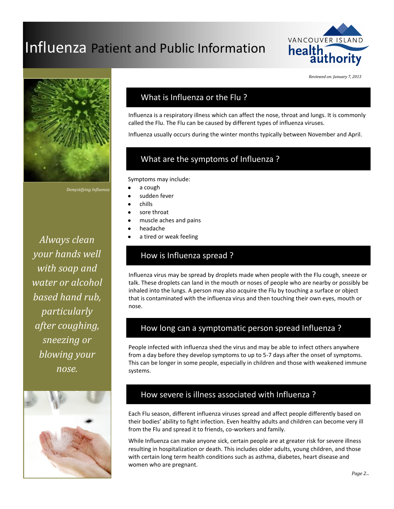# Influenza Patient and Public Information







*Demystifying Influenza*

*Always clean your hands well with soap and water or alcohol based hand rub, particularly after coughing, sneezing or blowing your nose.*



### What is Influenza or the Flu ?

Influenza is a respiratory illness which can affect the nose, throat and lungs. It is commonly called the Flu. The Flu can be caused by different types of influenza viruses.

Influenza usually occurs during the winter months typically between November and April.

# What are the symptoms of Influenza ?

Symptoms may include:

- a cough
- sudden fever
- chills
- sore throat
- muscle aches and pains
- headache
- a tired or weak feeling

# How is Influenza spread ?

Influenza virus may be spread by droplets made when people with the Flu cough, sneeze or talk. These droplets can land in the mouth or noses of people who are nearby or possibly be inhaled into the lungs. A person may also acquire the Flu by touching a surface or object that is contaminated with the influenza virus and then touching their own eyes, mouth or nose.

## How long can a symptomatic person spread Influenza ?

People infected with influenza shed the virus and may be able to infect others anywhere from a day before they develop symptoms to up to 5-7 days after the onset of symptoms. This can be longer in some people, especially in children and those with weakened immune systems.

### How severe is illness associated with Influenza ?

Each Flu season, different influenza viruses spread and affect people differently based on their bodies' ability to fight infection. Even healthy adults and children can become very ill from the Flu and spread it to friends, co-workers and family.

While Influenza can make anyone sick, certain people are at greater risk for severe illness resulting in hospitalization or death. This includes older adults, young children, and those with certain long term health conditions such as asthma, diabetes, heart disease and women who are pregnant.